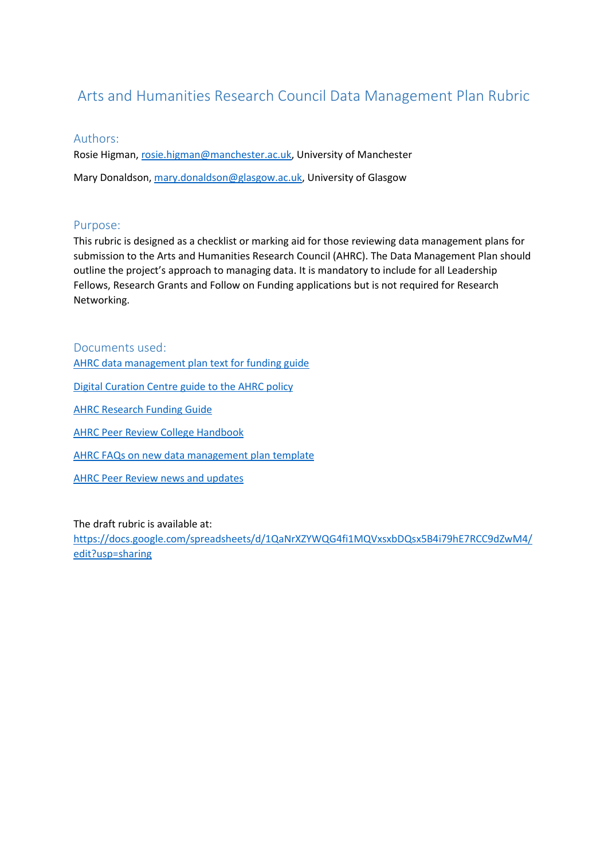## Arts and Humanities Research Council Data Management Plan Rubric

## Authors:

Rosie Higman, [rosie.higman@manchester.ac.uk,](mailto:rosie.higman@manchester.ac.uk) University of Manchester Mary Donaldson, [mary.donaldson@glasgow.ac.uk,](mailto:mary.donaldson@glasgow.ac.uk) University of Glasgow

## Purpose:

This rubric is designed as a checklist or marking aid for those reviewing data management plans for submission to the Arts and Humanities Research Council (AHRC). The Data Management Plan should outline the project's approach to managing data. It is mandatory to include for all Leadership Fellows, Research Grants and Follow on Funding applications but is not required for Research Networking.

Documents used: [AHRC data management plan text for funding guide](https://ahrc.ukri.org/documents/guides/data-management-plan/) [Digital Curation Centre guide to the AHRC policy](http://www.dcc.ac.uk/resources/policy-and-legal/research-funding-policies/ahrc%09) [AHRC Research Funding Guide](https://ahrc.ukri.org/documents/guides/research-funding-guide-v4-2/%09) [AHRC Peer Review College Handbook](http://www.ahrc.ac.uk/documents/guides/peer-review-college-handbook/%09) [AHRC FAQs on new data management plan template](https://ahrc.ukri.org/documents/guides/dmp-frequently-asked-questions/%09) [AHRC Peer Review news and updates](https://ahrc.ukri.org/peerreview/peer-review-news-and-updates/)

The draft rubric is available at:

[https://docs.google.com/spreadsheets/d/1QaNrXZYWQG4fi1MQVxsxbDQsx5B4i79hE7RCC9dZwM4/](https://docs.google.com/spreadsheets/d/1QaNrXZYWQG4fi1MQVxsxbDQsx5B4i79hE7RCC9dZwM4/edit?usp=sharing) [edit?usp=sharing](https://docs.google.com/spreadsheets/d/1QaNrXZYWQG4fi1MQVxsxbDQsx5B4i79hE7RCC9dZwM4/edit?usp=sharing)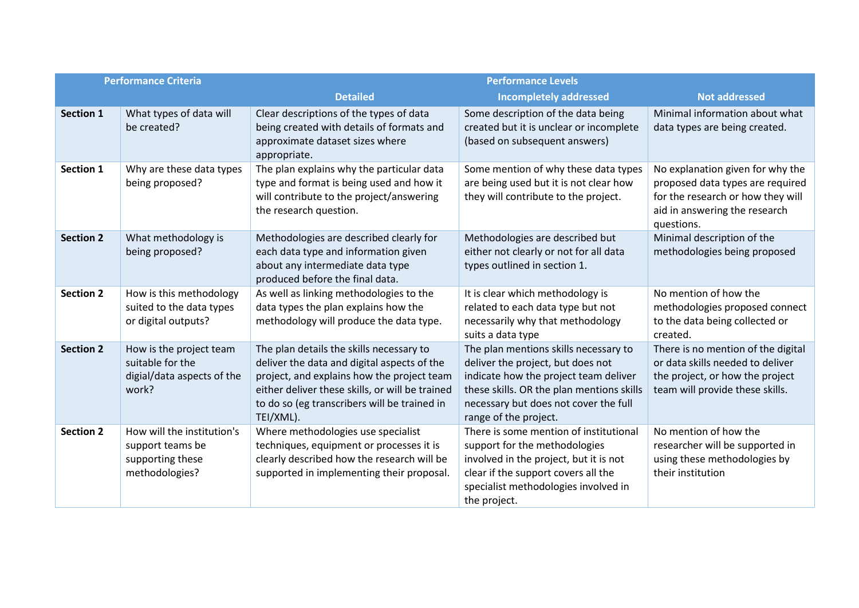| <b>Performance Criteria</b> |                                                                                      | <b>Performance Levels</b>                                                                                                                                                                                                                             |                                                                                                                                                                                                                                    |                                                                                                                                                          |  |
|-----------------------------|--------------------------------------------------------------------------------------|-------------------------------------------------------------------------------------------------------------------------------------------------------------------------------------------------------------------------------------------------------|------------------------------------------------------------------------------------------------------------------------------------------------------------------------------------------------------------------------------------|----------------------------------------------------------------------------------------------------------------------------------------------------------|--|
|                             |                                                                                      | <b>Detailed</b>                                                                                                                                                                                                                                       | <b>Incompletely addressed</b>                                                                                                                                                                                                      | <b>Not addressed</b>                                                                                                                                     |  |
| <b>Section 1</b>            | What types of data will<br>be created?                                               | Clear descriptions of the types of data<br>being created with details of formats and<br>approximate dataset sizes where<br>appropriate.                                                                                                               | Some description of the data being<br>created but it is unclear or incomplete<br>(based on subsequent answers)                                                                                                                     | Minimal information about what<br>data types are being created.                                                                                          |  |
| Section 1                   | Why are these data types<br>being proposed?                                          | The plan explains why the particular data<br>type and format is being used and how it<br>will contribute to the project/answering<br>the research question.                                                                                           | Some mention of why these data types<br>are being used but it is not clear how<br>they will contribute to the project.                                                                                                             | No explanation given for why the<br>proposed data types are required<br>for the research or how they will<br>aid in answering the research<br>questions. |  |
| <b>Section 2</b>            | What methodology is<br>being proposed?                                               | Methodologies are described clearly for<br>each data type and information given<br>about any intermediate data type<br>produced before the final data.                                                                                                | Methodologies are described but<br>either not clearly or not for all data<br>types outlined in section 1.                                                                                                                          | Minimal description of the<br>methodologies being proposed                                                                                               |  |
| <b>Section 2</b>            | How is this methodology<br>suited to the data types<br>or digital outputs?           | As well as linking methodologies to the<br>data types the plan explains how the<br>methodology will produce the data type.                                                                                                                            | It is clear which methodology is<br>related to each data type but not<br>necessarily why that methodology<br>suits a data type                                                                                                     | No mention of how the<br>methodologies proposed connect<br>to the data being collected or<br>created.                                                    |  |
| <b>Section 2</b>            | How is the project team<br>suitable for the<br>digial/data aspects of the<br>work?   | The plan details the skills necessary to<br>deliver the data and digital aspects of the<br>project, and explains how the project team<br>either deliver these skills, or will be trained<br>to do so (eg transcribers will be trained in<br>TEI/XML). | The plan mentions skills necessary to<br>deliver the project, but does not<br>indicate how the project team deliver<br>these skills. OR the plan mentions skills<br>necessary but does not cover the full<br>range of the project. | There is no mention of the digital<br>or data skills needed to deliver<br>the project, or how the project<br>team will provide these skills.             |  |
| <b>Section 2</b>            | How will the institution's<br>support teams be<br>supporting these<br>methodologies? | Where methodologies use specialist<br>techniques, equipment or processes it is<br>clearly described how the research will be<br>supported in implementing their proposal.                                                                             | There is some mention of institutional<br>support for the methodologies<br>involved in the project, but it is not<br>clear if the support covers all the<br>specialist methodologies involved in<br>the project.                   | No mention of how the<br>researcher will be supported in<br>using these methodologies by<br>their institution                                            |  |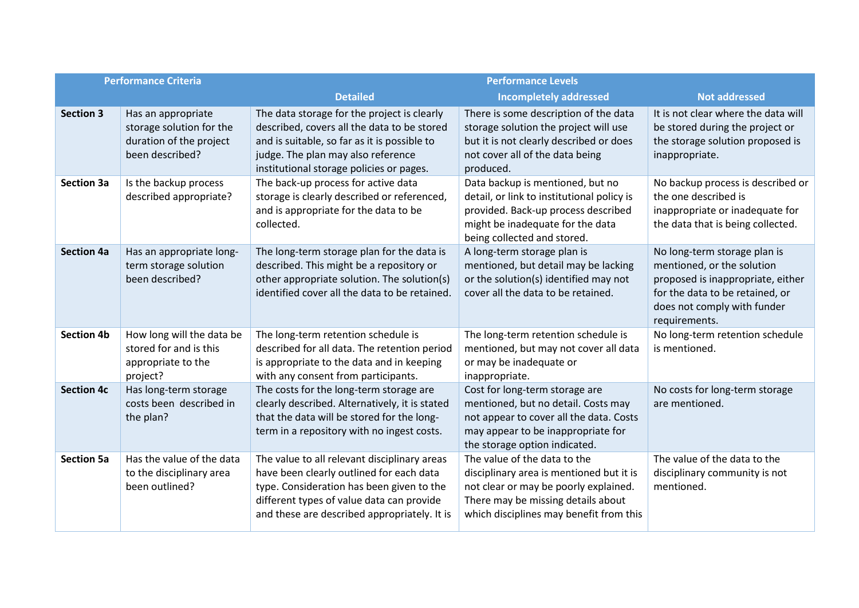| <b>Performance Criteria</b> |                                                                                              | <b>Performance Levels</b>                                                                                                                                                                                                          |                                                                                                                                                                                                    |                                                                                                                                                                                    |  |
|-----------------------------|----------------------------------------------------------------------------------------------|------------------------------------------------------------------------------------------------------------------------------------------------------------------------------------------------------------------------------------|----------------------------------------------------------------------------------------------------------------------------------------------------------------------------------------------------|------------------------------------------------------------------------------------------------------------------------------------------------------------------------------------|--|
|                             |                                                                                              | <b>Detailed</b>                                                                                                                                                                                                                    | <b>Incompletely addressed</b>                                                                                                                                                                      | <b>Not addressed</b>                                                                                                                                                               |  |
| <b>Section 3</b>            | Has an appropriate<br>storage solution for the<br>duration of the project<br>been described? | The data storage for the project is clearly<br>described, covers all the data to be stored<br>and is suitable, so far as it is possible to<br>judge. The plan may also reference<br>institutional storage policies or pages.       | There is some description of the data<br>storage solution the project will use<br>but it is not clearly described or does<br>not cover all of the data being<br>produced.                          | It is not clear where the data will<br>be stored during the project or<br>the storage solution proposed is<br>inappropriate.                                                       |  |
| <b>Section 3a</b>           | Is the backup process<br>described appropriate?                                              | The back-up process for active data<br>storage is clearly described or referenced,<br>and is appropriate for the data to be<br>collected.                                                                                          | Data backup is mentioned, but no<br>detail, or link to institutional policy is<br>provided. Back-up process described<br>might be inadequate for the data<br>being collected and stored.           | No backup process is described or<br>the one described is<br>inappropriate or inadequate for<br>the data that is being collected.                                                  |  |
| <b>Section 4a</b>           | Has an appropriate long-<br>term storage solution<br>been described?                         | The long-term storage plan for the data is<br>described. This might be a repository or<br>other appropriate solution. The solution(s)<br>identified cover all the data to be retained.                                             | A long-term storage plan is<br>mentioned, but detail may be lacking<br>or the solution(s) identified may not<br>cover all the data to be retained.                                                 | No long-term storage plan is<br>mentioned, or the solution<br>proposed is inappropriate, either<br>for the data to be retained, or<br>does not comply with funder<br>requirements. |  |
| <b>Section 4b</b>           | How long will the data be<br>stored for and is this<br>appropriate to the<br>project?        | The long-term retention schedule is<br>described for all data. The retention period<br>is appropriate to the data and in keeping<br>with any consent from participants.                                                            | The long-term retention schedule is<br>mentioned, but may not cover all data<br>or may be inadequate or<br>inappropriate.                                                                          | No long-term retention schedule<br>is mentioned.                                                                                                                                   |  |
| <b>Section 4c</b>           | Has long-term storage<br>costs been described in<br>the plan?                                | The costs for the long-term storage are<br>clearly described. Alternatively, it is stated<br>that the data will be stored for the long-<br>term in a repository with no ingest costs.                                              | Cost for long-term storage are<br>mentioned, but no detail. Costs may<br>not appear to cover all the data. Costs<br>may appear to be inappropriate for<br>the storage option indicated.            | No costs for long-term storage<br>are mentioned.                                                                                                                                   |  |
| <b>Section 5a</b>           | Has the value of the data<br>to the disciplinary area<br>been outlined?                      | The value to all relevant disciplinary areas<br>have been clearly outlined for each data<br>type. Consideration has been given to the<br>different types of value data can provide<br>and these are described appropriately. It is | The value of the data to the<br>disciplinary area is mentioned but it is<br>not clear or may be poorly explained.<br>There may be missing details about<br>which disciplines may benefit from this | The value of the data to the<br>disciplinary community is not<br>mentioned.                                                                                                        |  |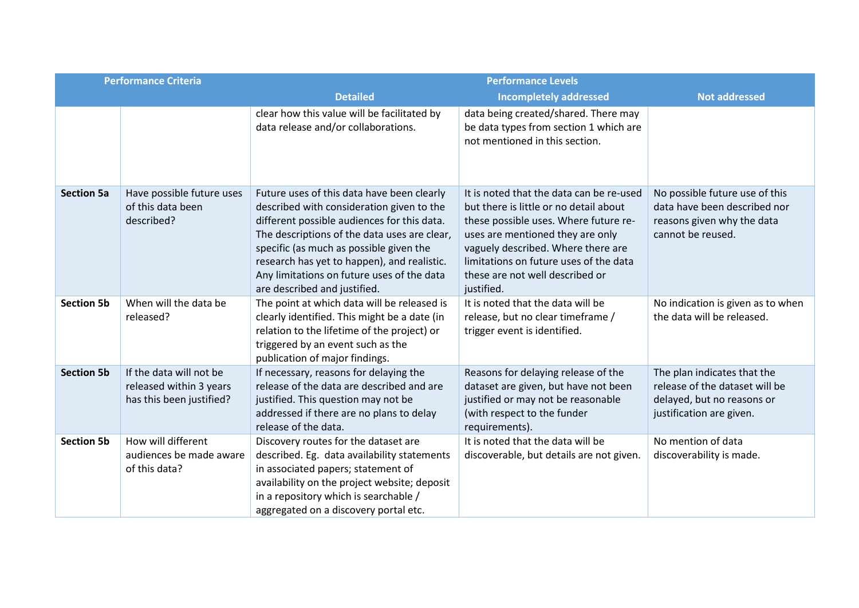| <b>Performance Criteria</b> |                                                                                | <b>Performance Levels</b>                                                                                                                                                                                                                                                                                                                                      |                                                                                                                                                                                                                                                                                                  |                                                                                                                         |  |
|-----------------------------|--------------------------------------------------------------------------------|----------------------------------------------------------------------------------------------------------------------------------------------------------------------------------------------------------------------------------------------------------------------------------------------------------------------------------------------------------------|--------------------------------------------------------------------------------------------------------------------------------------------------------------------------------------------------------------------------------------------------------------------------------------------------|-------------------------------------------------------------------------------------------------------------------------|--|
|                             |                                                                                | <b>Detailed</b>                                                                                                                                                                                                                                                                                                                                                | <b>Incompletely addressed</b>                                                                                                                                                                                                                                                                    | <b>Not addressed</b>                                                                                                    |  |
|                             |                                                                                | clear how this value will be facilitated by<br>data release and/or collaborations.                                                                                                                                                                                                                                                                             | data being created/shared. There may<br>be data types from section 1 which are<br>not mentioned in this section.                                                                                                                                                                                 |                                                                                                                         |  |
| <b>Section 5a</b>           | Have possible future uses<br>of this data been<br>described?                   | Future uses of this data have been clearly<br>described with consideration given to the<br>different possible audiences for this data.<br>The descriptions of the data uses are clear,<br>specific (as much as possible given the<br>research has yet to happen), and realistic.<br>Any limitations on future uses of the data<br>are described and justified. | It is noted that the data can be re-used<br>but there is little or no detail about<br>these possible uses. Where future re-<br>uses are mentioned they are only<br>vaguely described. Where there are<br>limitations on future uses of the data<br>these are not well described or<br>justified. | No possible future use of this<br>data have been described nor<br>reasons given why the data<br>cannot be reused.       |  |
| <b>Section 5b</b>           | When will the data be<br>released?                                             | The point at which data will be released is<br>clearly identified. This might be a date (in<br>relation to the lifetime of the project) or<br>triggered by an event such as the<br>publication of major findings.                                                                                                                                              | It is noted that the data will be<br>release, but no clear timeframe /<br>trigger event is identified.                                                                                                                                                                                           | No indication is given as to when<br>the data will be released.                                                         |  |
| <b>Section 5b</b>           | If the data will not be<br>released within 3 years<br>has this been justified? | If necessary, reasons for delaying the<br>release of the data are described and are<br>justified. This question may not be<br>addressed if there are no plans to delay<br>release of the data.                                                                                                                                                                 | Reasons for delaying release of the<br>dataset are given, but have not been<br>justified or may not be reasonable<br>(with respect to the funder<br>requirements).                                                                                                                               | The plan indicates that the<br>release of the dataset will be<br>delayed, but no reasons or<br>justification are given. |  |
| <b>Section 5b</b>           | How will different<br>audiences be made aware<br>of this data?                 | Discovery routes for the dataset are<br>described. Eg. data availability statements<br>in associated papers; statement of<br>availability on the project website; deposit<br>in a repository which is searchable /<br>aggregated on a discovery portal etc.                                                                                                    | It is noted that the data will be<br>discoverable, but details are not given.                                                                                                                                                                                                                    | No mention of data<br>discoverability is made.                                                                          |  |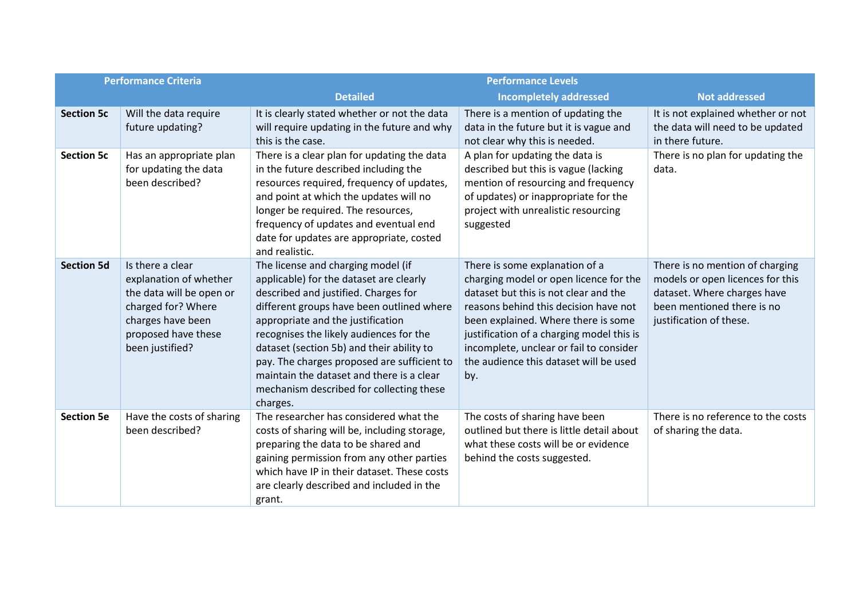| <b>Performance Criteria</b> |                                                                                                                                                             | <b>Performance Levels</b>                                                                                                                                                                                                                                                                                                                                                                                                                           |                                                                                                                                                                                                                                                                                                                                            |                                                                                                                                                             |  |
|-----------------------------|-------------------------------------------------------------------------------------------------------------------------------------------------------------|-----------------------------------------------------------------------------------------------------------------------------------------------------------------------------------------------------------------------------------------------------------------------------------------------------------------------------------------------------------------------------------------------------------------------------------------------------|--------------------------------------------------------------------------------------------------------------------------------------------------------------------------------------------------------------------------------------------------------------------------------------------------------------------------------------------|-------------------------------------------------------------------------------------------------------------------------------------------------------------|--|
|                             |                                                                                                                                                             | <b>Detailed</b>                                                                                                                                                                                                                                                                                                                                                                                                                                     | <b>Incompletely addressed</b>                                                                                                                                                                                                                                                                                                              | <b>Not addressed</b>                                                                                                                                        |  |
| <b>Section 5c</b>           | Will the data require<br>future updating?                                                                                                                   | It is clearly stated whether or not the data<br>will require updating in the future and why<br>this is the case.                                                                                                                                                                                                                                                                                                                                    | There is a mention of updating the<br>data in the future but it is vague and<br>not clear why this is needed.                                                                                                                                                                                                                              | It is not explained whether or not<br>the data will need to be updated<br>in there future.                                                                  |  |
| <b>Section 5c</b>           | Has an appropriate plan<br>for updating the data<br>been described?                                                                                         | There is a clear plan for updating the data<br>in the future described including the<br>resources required, frequency of updates,<br>and point at which the updates will no<br>longer be required. The resources,<br>frequency of updates and eventual end<br>date for updates are appropriate, costed<br>and realistic.                                                                                                                            | A plan for updating the data is<br>described but this is vague (lacking<br>mention of resourcing and frequency<br>of updates) or inappropriate for the<br>project with unrealistic resourcing<br>suggested                                                                                                                                 | There is no plan for updating the<br>data.                                                                                                                  |  |
| <b>Section 5d</b>           | Is there a clear<br>explanation of whether<br>the data will be open or<br>charged for? Where<br>charges have been<br>proposed have these<br>been justified? | The license and charging model (if<br>applicable) for the dataset are clearly<br>described and justified. Charges for<br>different groups have been outlined where<br>appropriate and the justification<br>recognises the likely audiences for the<br>dataset (section 5b) and their ability to<br>pay. The charges proposed are sufficient to<br>maintain the dataset and there is a clear<br>mechanism described for collecting these<br>charges. | There is some explanation of a<br>charging model or open licence for the<br>dataset but this is not clear and the<br>reasons behind this decision have not<br>been explained. Where there is some<br>justification of a charging model this is<br>incomplete, unclear or fail to consider<br>the audience this dataset will be used<br>by. | There is no mention of charging<br>models or open licences for this<br>dataset. Where charges have<br>been mentioned there is no<br>justification of these. |  |
| <b>Section 5e</b>           | Have the costs of sharing<br>been described?                                                                                                                | The researcher has considered what the<br>costs of sharing will be, including storage,<br>preparing the data to be shared and<br>gaining permission from any other parties<br>which have IP in their dataset. These costs<br>are clearly described and included in the<br>grant.                                                                                                                                                                    | The costs of sharing have been<br>outlined but there is little detail about<br>what these costs will be or evidence<br>behind the costs suggested.                                                                                                                                                                                         | There is no reference to the costs<br>of sharing the data.                                                                                                  |  |